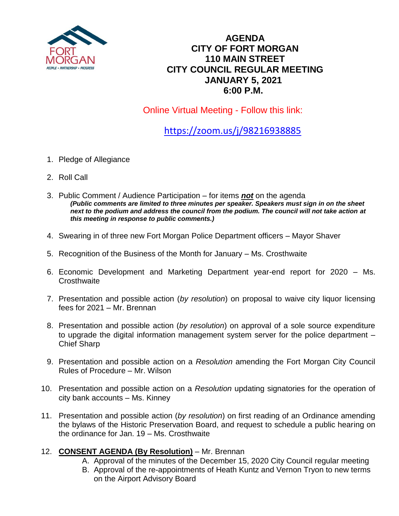

## **AGENDA CITY OF FORT MORGAN 110 MAIN STREET CITY COUNCIL REGULAR MEETING JANUARY 5, 2021 6:00 P.M.**

Online Virtual Meeting - Follow this link:

<https://zoom.us/j/98216938885>

- 1. Pledge of Allegiance
- 2. Roll Call
- 3. Public Comment / Audience Participation for items *not* on the agenda *(Public comments are limited to three minutes per speaker. Speakers must sign in on the sheet*  next to the podium and address the council from the podium. The council will not take action at *this meeting in response to public comments.)*
- 4. Swearing in of three new Fort Morgan Police Department officers Mayor Shaver
- 5. Recognition of the Business of the Month for January Ms. Crosthwaite
- 6. Economic Development and Marketing Department year-end report for 2020 Ms. **Crosthwaite**
- 7. Presentation and possible action (*by resolution*) on proposal to waive city liquor licensing fees for 2021 – Mr. Brennan
- 8. Presentation and possible action (*by resolution*) on approval of a sole source expenditure to upgrade the digital information management system server for the police department – Chief Sharp
- 9. Presentation and possible action on a *Resolution* amending the Fort Morgan City Council Rules of Procedure – Mr. Wilson
- 10. Presentation and possible action on a *Resolution* updating signatories for the operation of city bank accounts – Ms. Kinney
- 11. Presentation and possible action (*by resolution*) on first reading of an Ordinance amending the bylaws of the Historic Preservation Board, and request to schedule a public hearing on the ordinance for Jan. 19 – Ms. Crosthwaite
- 12. **CONSENT AGENDA (By Resolution)** Mr. Brennan
	- A. Approval of the minutes of the December 15, 2020 City Council regular meeting
	- B. Approval of the re-appointments of Heath Kuntz and Vernon Tryon to new terms on the Airport Advisory Board